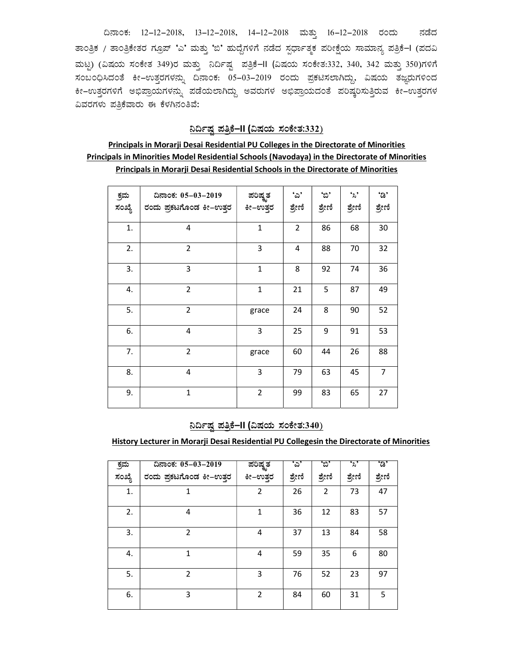ದಿನಾಂಕ: 12-12-2018, 13-12-2018, 14-12-2018 ಮತ್ತು 16-12-2018 ರಂದು ನಡೆದ ತಾಂತ್ರಿಕ / ತಾಂತ್ರಿಕೇತರ ಗ್ರೂಪ್ 'ಎ' ಮತ್ತು 'ಬಿ' ಹುದ್ದೆಗಳಿಗೆ ನಡೆದ ಸ್ಪರ್ಧಾತ್ಮಕ ಪರೀಕ್ಷೆಯ ಸಾಮಾನ್ಯ ಪತ್ರಿಕೆ−I (ಪದವಿ ಮಟ್ಟ) (ವಿಷಯ ಸಂಕೇತ 349)ರ ಮತ್ತು ನಿರ್ದಿಷ್ಟ ಪತ್ರಿಕೆ–II (ವಿಷಯ ಸಂಕೇತ:332, 340, 342 ಮತ್ತು 350)ಗಳಿಗೆ ಸಂಬಂಧಿಸಿದಂತೆ ಕೀ–ಉತ್ತರಗಳನ್ನು ದಿನಾಂಕ: 05–03–2019 ರಂದು ಪ್ರಕಟಿಸಲಾಗಿದ್ದು, ವಿಷಯ ತಜ್ಞರುಗಳಿಂದ Õ ಕೀ–ಉತ್ತರಗಳಿಗೆ ಅಭಿಪ್ರಾಯಗಳನ್ನು ಪಡೆಯಲಾಗಿದ್ದು ಅವರುಗಳ ಅಭಿಪ್ರಾಯದಂತೆ ಪರಿಷ್ಕರಿಸುತ್ತಿರುವ ಕೀ–ಉತ್ತರಗಳ ವಿವರಗಳು ಪತ್ರಿಕೆವಾರು ಈ ಕೆಳಗಿನಂತಿವೆ:

### <u>ನಿರ್ದಿಷ್ಠ ಪತ್ರಿಕೆ–II (ವಿಷಯ ಸಂಕೇತ:332)</u>

## Principals in Morarji Desai Residential PU Colleges in the Directorate of Minorities Principals in Minorities Model Residential Schools (Navodaya) in the Directorate of Minorities Principals in Morarji Desai Residential Schools in the Directorate of Minorities

|        | ದಿನಾಂಕ: 05-03-2019      | ಪರಿಷ್ತತ        | 'చి'           | 'బి'   | •ి,    | 'ಡಿ'           |
|--------|-------------------------|----------------|----------------|--------|--------|----------------|
| ಕ್ರಮ   |                         |                |                |        |        |                |
| ಸಂಖ್ಯೆ | ರಂದು ಪ್ರಕಟಗೊಂಡ ಕೀ–ಉತ್ತರ | ಕೀ–ಉತ್ತರ       | ಶ್ರೇಣಿ         | ಶ್ರೇಣಿ | ಶ್ರೇಣಿ | ಶ್ರೇಣಿ         |
| 1.     | 4                       | $\mathbf{1}$   | $\overline{2}$ | 86     | 68     | 30             |
| 2.     | 2                       | 3              | 4              | 88     | 70     | 32             |
| 3.     | 3                       | $\mathbf{1}$   | 8              | 92     | 74     | 36             |
| 4.     | $\overline{2}$          | $\mathbf{1}$   | 21             | 5      | 87     | 49             |
| 5.     | $\overline{2}$          | grace          | 24             | 8      | 90     | 52             |
| 6.     | 4                       | 3              | 25             | 9      | 91     | 53             |
| 7.     | $\overline{2}$          | grace          | 60             | 44     | 26     | 88             |
| 8.     | $\overline{4}$          | 3              | 79             | 63     | 45     | $\overline{7}$ |
| 9.     | $\mathbf{1}$            | $\overline{2}$ | 99             | 83     | 65     | 27             |

### <u>ನಿರ್ದಿಷ್ಠ ಪತ್ರಿಕೆ–II (ವಿಷಯ ಸಂಕೇತ:340)</u>

History Lecturer in Morarji Desai Residential PU Collegesin the Directorate of Minorities

| ಕ್ರಮ   | ದಿನಾಂಕ: 05-03-2019      | <u>ಪರಿಷ್ಕ</u> ತ | 'ప'    | 'బి'   | 'ని    | 'ಡಿ'   |
|--------|-------------------------|-----------------|--------|--------|--------|--------|
| ಸಂಖ್ಯೆ | ರಂದು ಪ್ರಕಟಗೊಂಡ ಕೀ–ಉತ್ತರ | ಕೀ–ಉತ್ತರ        | ಶ್ರೇಣಿ | ಶ್ರೇಣಿ | ಶ್ರೇಣಿ | ಶ್ರೇಣಿ |
| 1.     | 1                       | $\overline{2}$  | 26     | 2      | 73     | 47     |
| 2.     | 4                       | 1               | 36     | 12     | 83     | 57     |
| 3.     | $\mathfrak{p}$          | 4               | 37     | 13     | 84     | 58     |
| 4.     | $\mathbf{1}$            | 4               | 59     | 35     | 6      | 80     |
| 5.     | $\overline{2}$          | 3               | 76     | 52     | 23     | 97     |
| 6.     | 3                       | $\overline{2}$  | 84     | 60     | 31     | 5      |